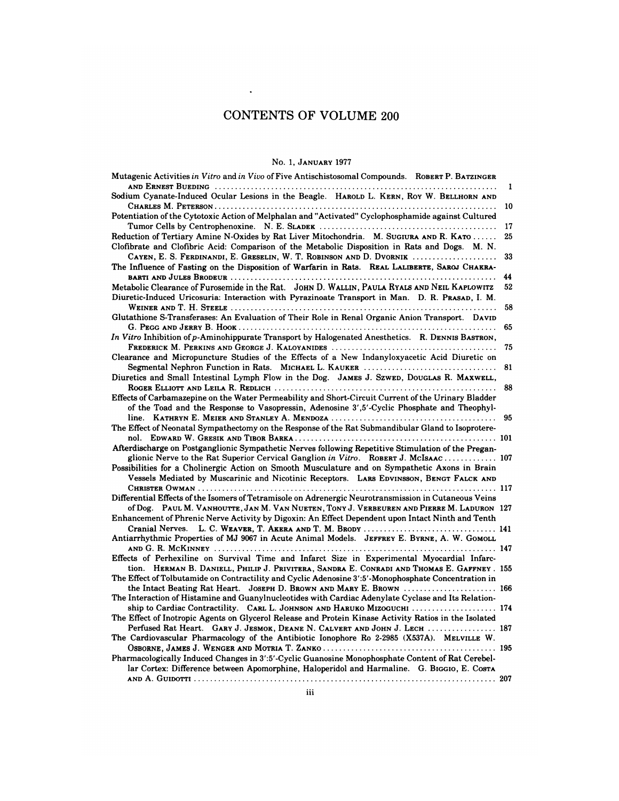## CONTENTS OF VOLUME 200

### No. 1, JANUARY <sup>1977</sup>

| No. 1, JANUARY 1977                                                                                   |    |
|-------------------------------------------------------------------------------------------------------|----|
| Mutagenic Activities in Vitro and in Vivo of Five Antischistosomal Compounds. ROBERT P. BATZINGER     | 1  |
| Sodium Cyanate-Induced Ocular Lesions in the Beagle. HAROLD L. KERN, ROY W. BELLHORN AND              |    |
|                                                                                                       | 10 |
| Potentiation of the Cytotoxic Action of Melphalan and "Activated" Cyclophosphamide against Cultured   |    |
|                                                                                                       | 17 |
| Reduction of Tertiary Amine N-Oxides by Rat Liver Mitochondria. M. SUGIURA AND R. KATO                | 25 |
| Clofibrate and Clofibric Acid: Comparison of the Metabolic Disposition in Rats and Dogs. M. N.        |    |
| CAYEN, E. S. FERDINANDI, E. GRESELIN, W. T. ROBINSON AND D. DVORNIK                                   | 33 |
| The Influence of Fasting on the Disposition of Warfarin in Rats. REAL LALIBERTE, SAROJ CHAKRA-        |    |
|                                                                                                       | 44 |
| Metabolic Clearance of Furosemide in the Rat. JOHN D. WALLIN, PAULA RYALS AND NEIL KAPLOWITZ          | 52 |
| Diuretic-Induced Uricosuria: Interaction with Pyrazinoate Transport in Man. D. R. PRASAD, I. M.       |    |
|                                                                                                       | 58 |
| Glutathione S-Transferases: An Evaluation of Their Role in Renal Organic Anion Transport. DAVID       |    |
|                                                                                                       | 65 |
| In Vitro Inhibition of p-Aminohippurate Transport by Halogenated Anesthetics. R. DENNIS BASTRON.      |    |
|                                                                                                       | 75 |
| Clearance and Micropuncture Studies of the Effects of a New Indanyloxyacetic Acid Diuretic on         |    |
| Segmental Nephron Function in Rats. MICHAEL L. KAUKER                                                 | 81 |
| Diuretics and Small Intestinal Lymph Flow in the Dog. JAMES J. SzwED, DOUGLAS R. MAXWELL,             |    |
|                                                                                                       | 88 |
| Effects of Carbamazepine on the Water Permeability and Short-Circuit Current of the Urinary Bladder   |    |
| of the Toad and the Response to Vasopressin, Adenosine 3',5'-Cyclic Phosphate and Theophyl-           |    |
|                                                                                                       | 95 |
| The Effect of Neonatal Sympathectomy on the Response of the Rat Submandibular Gland to Isoprotere-    |    |
|                                                                                                       |    |
| Afterdischarge on Postganglionic Sympathetic Nerves following Repetitive Stimulation of the Pregan-   |    |
| glionic Nerve to the Rat Superior Cervical Ganglion in Vitro. ROBERT J. MCISAAC  107                  |    |
| Possibilities for a Cholinergic Action on Smooth Musculature and on Sympathetic Axons in Brain        |    |
| Vessels Mediated by Muscarinic and Nicotinic Receptors. LARS EDVINSSON, BENGT FALCK AND               |    |
|                                                                                                       |    |
| Differential Effects of the Isomers of Tetramisole on Adrenergic Neurotransmission in Cutaneous Veins |    |
| of Dog. PAUL M. VANHOUTTE, JAN M. VAN NUETEN, TONY J. VERBEUREN AND PIERRE M. LADURON 127             |    |
| Enhancement of Phrenic Nerve Activity by Digoxin: An Effect Dependent upon Intact Ninth and Tenth     |    |
|                                                                                                       |    |
| Antiarrhythmic Properties of MJ 9067 in Acute Animal Models. JEFFREY E. BYRNE, A. W. GOMOLL           |    |
|                                                                                                       |    |
| Effects of Perhexiline on Survival Time and Infarct Size in Experimental Myocardial Infarc-           |    |
| tion. HERMAN B. DANIELL, PHILIP J. PRIVITERA, SANDRA E. CONRADI AND THOMAS E. GAFFNEY . 155           |    |
| The Effect of Tolbutamide on Contractility and Cyclic Adenosine 3':5'-Monophosphate Concentration in  |    |
| the Intact Beating Rat Heart. JOSEPH D. BROWN AND MARY E. BROWN  166                                  |    |
| The Interaction of Histamine and Guanylnucleotides with Cardiac Adenylate Cyclase and Its Relation-   |    |
| ship to Cardiac Contractility. CARL L. JOHNSON AND HARUKO MIZOGUCHI  174                              |    |
| The Effect of Inotropic Agents on Glycerol Release and Protein Kinase Activity Ratios in the Isolated |    |
| Perfused Rat Heart. GARY J. JESMOK, DEANE N. CALVERT AND JOHN J. LECH  187                            |    |
| The Cardiovascular Pharmacology of the Antibiotic Ionophore Ro 2-2985 (X537A). MELVILLE W.            |    |
|                                                                                                       |    |
| Pharmacologically Induced Changes in 3':5'-Cyclic Guanosine Monophosphate Content of Rat Cerebel-     |    |
| lar Cortex: Difference between Apomorphine, Haloperidol and Harmaline. G. BIGGIO, E. COSTA            |    |
|                                                                                                       |    |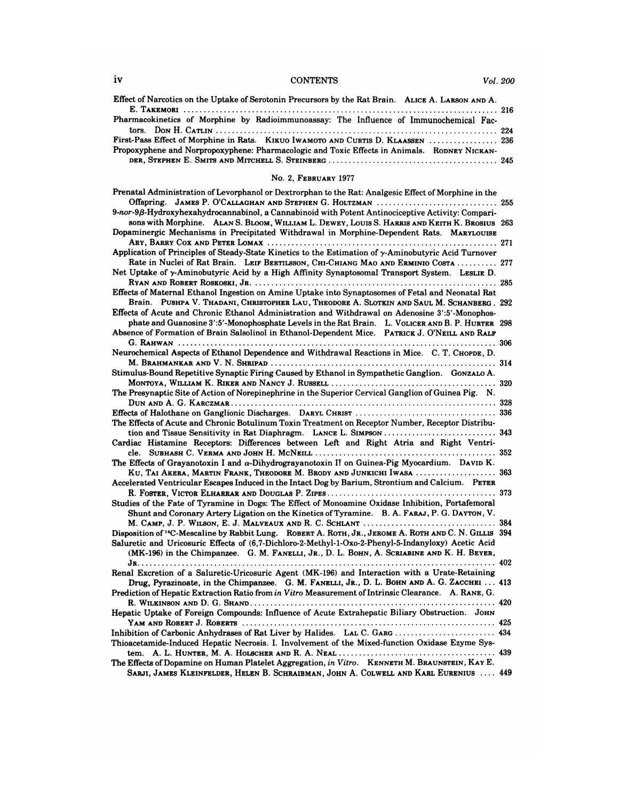# iv CONTENTS *Vol. 200*

| iv | <b>CONTENTS</b>                                                                                                              | Vol. 200 |
|----|------------------------------------------------------------------------------------------------------------------------------|----------|
|    | Effect of Narcotics on the Uptake of Serotonin Precursors by the Rat Brain. ALICE A. LARSON AND A.                           |          |
|    | Pharmacokinetics of Morphine by Radioimmunoassay: The Influence of Immunochemical Fac-                                       |          |
|    | tors. Don H. Catlin $\ldots$ . $\ldots$ . $\ldots$ . $\ldots$ . $\ldots$ . $\ldots$ . $\ldots$ . $\ldots$ . $\ldots$ . $224$ |          |
|    | First-Pass Effect of Morphine in Rats. KIKUO IWAMOTO AND CURTIS D. KLAASSEN  236                                             |          |
|    | Propoxyphene and Norpropoxyphene: Pharmacologic and Toxic Effects in Animals. RODNEY NICKAN-                                 |          |
|    |                                                                                                                              |          |
|    | <b>No. 2. FEBRUARY 1977</b>                                                                                                  |          |
|    | Departed Administration of Longinian J on Doublembon to the Date Angles of DCs of $\mathcal{L}(X)$ and $\mathcal{L}(X)$      |          |

| No. 2, FEBRUARY 1977                                                                                                                                                                                                                                                                                                  |  |
|-----------------------------------------------------------------------------------------------------------------------------------------------------------------------------------------------------------------------------------------------------------------------------------------------------------------------|--|
| Prenatal Administration of Levorphanol or Dextrorphan to the Rat: Analgesic Effect of Morphine in the                                                                                                                                                                                                                 |  |
| 9-nor-9β-Hydroxyhexahydrocannabinol, a Cannabinoid with Potent Antinociceptive Activity: Compari-<br>SONS with Morphine. ALAN S. BLOOM, WILLIAM L. DEWEY, LOUIS S. HARRIS AND KEITH K. BROSIUS 263                                                                                                                    |  |
| Dopaminergic Mechanisms in Precipitated Withdrawal in Morphine-Dependent Rats. MARYLOUISE                                                                                                                                                                                                                             |  |
| Application of Principles of Steady-State Kinetics to the Estimation of y-Aminobutyric Acid Turnover<br>Rate in Nuclei of Rat Brain. LEIF BERTILSSON, CHI-CHIANG MAO AND ERMINIO COSTA  277                                                                                                                           |  |
| Net Uptake of y-Aminobutyric Acid by a High Affinity Synaptosomal Transport System. LESLIE D.                                                                                                                                                                                                                         |  |
| Effects of Maternal Ethanol Ingestion on Amine Uptake into Synaptosomes of Fetal and Neonatal Rat<br>Brain. PUSHPA V. THADANI, CHRISTOPHER LAU, THEODORE A. SLOTKIN AND SAUL M. SCHANBERG. 292                                                                                                                        |  |
| Effects of Acute and Chronic Ethanol Administration and Withdrawal on Adenosine 3':5'-Monophos-                                                                                                                                                                                                                       |  |
| phate and Guanosine 3':5'-Monophosphate Levels in the Rat Brain. L. VOLICER AND B. P. HURTER 298<br>Absence of Formation of Brain Salsolinol in Ethanol-Dependent Mice. PATRICK J. O'NEILL AND RALF                                                                                                                   |  |
| Neurochemical Aspects of Ethanol Dependence and Withdrawal Reactions in Mice. C. T. CHOPDE, D.                                                                                                                                                                                                                        |  |
| Stimulus-Bound Repetitive Synaptic Firing Caused by Ethanol in Sympathetic Ganglion. GONZALO A.                                                                                                                                                                                                                       |  |
| The Presynaptic Site of Action of Norepinephrine in the Superior Cervical Ganglion of Guinea Pig. N.                                                                                                                                                                                                                  |  |
|                                                                                                                                                                                                                                                                                                                       |  |
| The Effects of Acute and Chronic Botulinum Toxin Treatment on Receptor Number, Receptor Distribu-                                                                                                                                                                                                                     |  |
| Cardiac Histamine Receptors: Differences between Left and Right Atria and Right Ventri-                                                                                                                                                                                                                               |  |
| The Effects of Grayanotoxin I and $\alpha$ -Dihydrograyanotoxin I! on Guinea-Pig Myocardium. DAVID K.<br>KU, TAI AKERA, MARTIN FRANK, THEODORE M. BRODY AND JUNKICHI IWASA  363                                                                                                                                       |  |
| Accelerated Ventricular Escapes Induced in the Intact Dog by Barium, Strontium and Calcium. PETER                                                                                                                                                                                                                     |  |
| Studies of the Fate of Tyramine in Dogs: The Effect of Monoamine Oxidase Inhibition, Portafemoral<br>Shunt and Coronary Artery Ligation on the Kinetics of Tyramine. B. A. FARAJ, P. G. DAYTON, V.                                                                                                                    |  |
|                                                                                                                                                                                                                                                                                                                       |  |
| Disposition of <sup>14</sup> C-Mescaline by Rabbit Lung. ROBERT A. ROTH, JR., JEROME A. ROTH AND C. N. GILLIS 394<br>Saluretic and Uricosuric Effects of (6,7-Dichloro-2-Methyl-1-Oxo-2-Phenyl-5-Indanyloxy) Acetic Acid<br>(MK-196) in the Chimpanzee. G. M. FANELLI, JR., D. L. BOHN, A. SCRIABINE AND K. H. BEYER, |  |
| Renal Excretion of a Saluretic-Uricosuric Agent (MK-196) and Interaction with a Urate-Retaining                                                                                                                                                                                                                       |  |
| Drug, Pyrazinoate, in the Chimpanzee. G. M. FANELLI, JR., D. L. BOHN AND A. G. ZACCHEI  413<br>Prediction of Hepatic Extraction Ratio from in Vitro Measurement of Intrinsic Clearance. A. RANE, G.                                                                                                                   |  |
| Hepatic Uptake of Foreign Compounds: Influence of Acute Extrahepatic Biliary Obstruction. JOHN                                                                                                                                                                                                                        |  |
|                                                                                                                                                                                                                                                                                                                       |  |
| Inhibition of Carbonic Anhydrases of Rat Liver by Halides. LAL C. GARG  434<br>Thioacetamide-Induced Hepatic Necrosis. I. Involvement of the Mixed-function Oxidase Ezyme Sys-                                                                                                                                        |  |
| The Effects of Dopamine on Human Platelet Aggregation, in Vitro. KENNETH M. BRAUNSTEIN, KAY E.<br>SARJI, JAMES KLEINFELDER, HELEN B. SCHRAIBMAN, JOHN A. COLWELL AND KARL EURENIUS  449                                                                                                                               |  |
|                                                                                                                                                                                                                                                                                                                       |  |